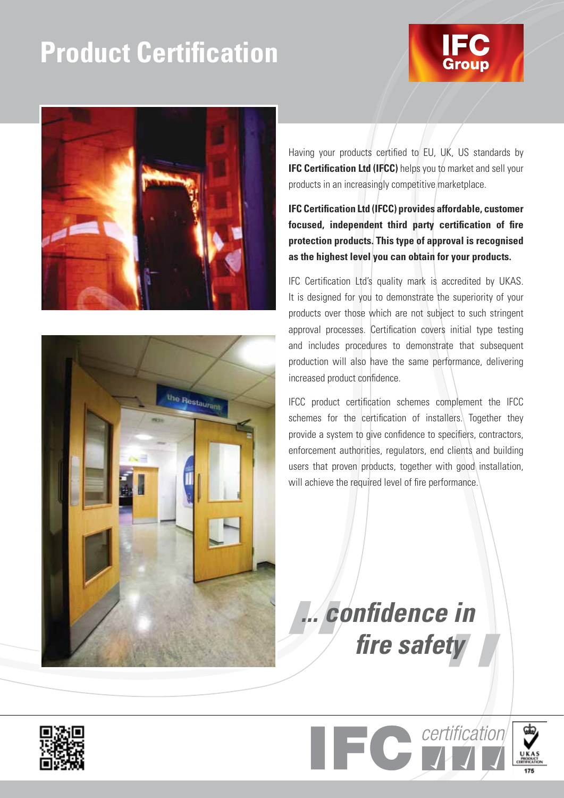# **Product Certification**







Having your products certified to EU, UK, US standards by **IFC Certification Ltd (IFCC)** helps you to market and sell your products in an increasingly competitive marketplace.

## **IFC Certification Ltd (IFCC) provides affordable, customer focused, independent third party certification of fire protection products. This type of approval is recognised as the highest level you can obtain for your products.**

IFC Certification Ltd's quality mark is accredited by UKAS. It is designed for you to demonstrate the superiority of your products over those which are not subject to such stringent approval processes. Certification covers initial type testing and includes procedures to demonstrate that subsequent production will also have the same performance, delivering increased product confidence.

IFCC product certification schemes complement the IFCC schemes for the certification of installers. Together they provide a system to give confidence to specifiers, contractors, enforcement authorities, regulators, end clients and building users that proven products, together with good installation, will achieve the required level of fire performance.

*... confidence in fire safety*



certification